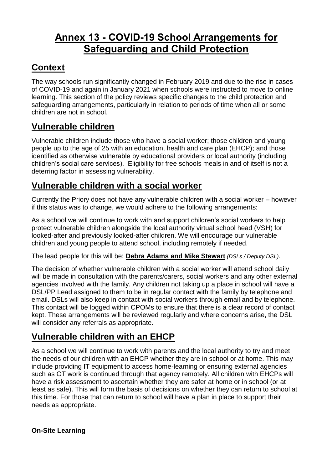# **Annex 13 - COVID-19 School Arrangements for Safeguarding and Child Protection**

## **Context**

The way schools run significantly changed in February 2019 and due to the rise in cases of COVID-19 and again in January 2021 when schools were instructed to move to online learning. This section of the policy reviews specific changes to the child protection and safeguarding arrangements, particularly in relation to periods of time when all or some children are not in school.

## **Vulnerable children**

Vulnerable children include those who have a social worker; those children and young people up to the age of 25 with an education, health and care plan (EHCP); and those identified as otherwise vulnerable by educational providers or local authority (including children's social care services). Eligibility for free schools meals in and of itself is not a deterring factor in assessing vulnerability.

## **Vulnerable children with a social worker**

Currently the Priory does not have any vulnerable children with a social worker – however if this status was to change, we would adhere to the following arrangements:

As a school we will continue to work with and support children's social workers to help protect vulnerable children alongside the local authority virtual school head (VSH) for looked-after and previously looked-after children. We will encourage our vulnerable children and young people to attend school, including remotely if needed.

The lead people for this will be: **Debra Adams and Mike Stewart** *(DSLs / Deputy DSL)*.

The decision of whether vulnerable children with a social worker will attend school daily will be made in consultation with the parents/carers, social workers and any other external agencies involved with the family. Any children not taking up a place in school will have a DSL/PP Lead assigned to them to be in regular contact with the family by telephone and email. DSLs will also keep in contact with social workers through email and by telephone. This contact will be logged within CPOMs to ensure that there is a clear record of contact kept. These arrangements will be reviewed regularly and where concerns arise, the DSL will consider any referrals as appropriate.

# **Vulnerable children with an EHCP**

As a school we will continue to work with parents and the local authority to try and meet the needs of our children with an EHCP whether they are in school or at home. This may include providing IT equipment to access home-learning or ensuring external agencies such as OT work is continued through that agency remotely. All children with EHCPs will have a risk assessment to ascertain whether they are safer at home or in school (or at least as safe). This will form the basis of decisions on whether they can return to school at this time. For those that can return to school will have a plan in place to support their needs as appropriate.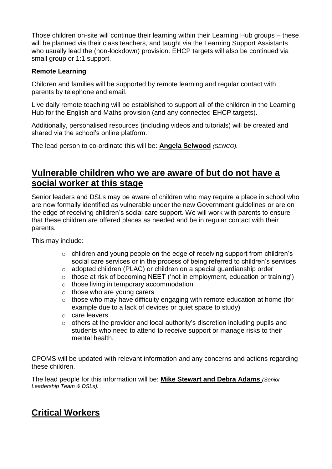Those children on-site will continue their learning within their Learning Hub groups – these will be planned via their class teachers, and taught via the Learning Support Assistants who usually lead the (non-lockdown) provision. EHCP targets will also be continued via small group or 1:1 support.

#### **Remote Learning**

Children and families will be supported by remote learning and regular contact with parents by telephone and email.

Live daily remote teaching will be established to support all of the children in the Learning Hub for the English and Maths provision (and any connected EHCP targets).

Additionally, personalised resources (including videos and tutorials) will be created and shared via the school's online platform.

The lead person to co-ordinate this will be: **Angela Selwood** *(SENCO).*

#### **Vulnerable children who we are aware of but do not have a social worker at this stage**

Senior leaders and DSLs may be aware of children who may require a place in school who are now formally identified as vulnerable under the new Government guidelines or are on the edge of receiving children's social care support. We will work with parents to ensure that these children are offered places as needed and be in regular contact with their parents.

This may include:

- o children and young people on the edge of receiving support from children's social care services or in the process of being referred to children's services
- o adopted children (PLAC) or children on a special guardianship order
- o those at risk of becoming NEET ('not in employment, education or training')
- o those living in temporary accommodation
- o those who are young carers
- o those who may have difficulty engaging with remote education at home (for example due to a lack of devices or quiet space to study)
- o care leavers
- o others at the provider and local authority's discretion including pupils and students who need to attend to receive support or manage risks to their mental health.

CPOMS will be updated with relevant information and any concerns and actions regarding these children.

The lead people for this information will be: **Mike Stewart and Debra Adams** *(Senior Leadership Team & DSLs).*

## **Critical Workers**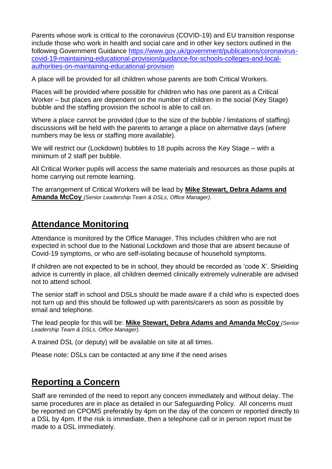Parents whose work is critical to the coronavirus (COVID-19) and EU transition response include those who work in health and social care and in other key sectors outlined in the following Government Guidance [https://www.gov.uk/government/publications/coronavirus](https://www.gov.uk/government/publications/coronavirus-covid-19-maintaining-educational-provision/guidance-for-schools-colleges-and-local-authorities-on-maintaining-educational-provision)[covid-19-maintaining-educational-provision/guidance-for-schools-colleges-and-local](https://www.gov.uk/government/publications/coronavirus-covid-19-maintaining-educational-provision/guidance-for-schools-colleges-and-local-authorities-on-maintaining-educational-provision)[authorities-on-maintaining-educational-provision](https://www.gov.uk/government/publications/coronavirus-covid-19-maintaining-educational-provision/guidance-for-schools-colleges-and-local-authorities-on-maintaining-educational-provision)

A place will be provided for all children whose parents are both Critical Workers.

Places will be provided where possible for children who has one parent as a Critical Worker – but places are dependent on the number of children in the social (Key Stage) bubble and the staffing provision the school is able to call on.

Where a place cannot be provided (due to the size of the bubble / limitations of staffing) discussions will be held with the parents to arrange a place on alternative days (where numbers may be less or staffing more available).

We will restrict our (Lockdown) bubbles to 18 pupils across the Key Stage – with a minimum of 2 staff per bubble.

All Critical Worker pupils will access the same materials and resources as those pupils at home carrying out remote learning.

The arrangement of Critical Workers will be lead by **Mike Stewart, Debra Adams and Amanda McCoy** *(Senior Leadership Team & DSLs, Office Manager).*

#### **Attendance Monitoring**

Attendance is monitored by the Office Manager. This includes children who are not expected in school due to the National Lockdown and those that are absent because of Covid-19 symptoms, or who are self-isolating because of household symptoms.

If children are not expected to be in school, they should be recorded as 'code X'. Shielding advice is currently in place, all children deemed clinically extremely vulnerable are advised not to attend school.

The senior staff in school and DSLs should be made aware if a child who is expected does not turn up and this should be followed up with parents/carers as soon as possible by email and telephone.

The lead people for this will be: **Mike Stewart, Debra Adams and Amanda McCoy** *(Senior Leadership Team & DSLs, Office Manager).*

A trained DSL (or deputy) will be available on site at all times.

Please note: DSLs can be contacted at any time if the need arises

#### **Reporting a Concern**

Staff are reminded of the need to report any concern immediately and without delay. The same procedures are in place as detailed in our Safeguarding Policy. All concerns must be reported on CPOMS preferably by 4pm on the day of the concern or reported directly to a DSL by 4pm. If the risk is immediate, then a telephone call or in person report must be made to a DSL immediately.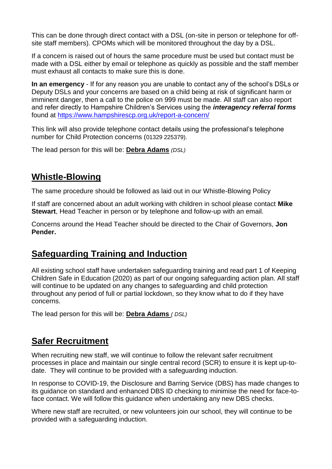This can be done through direct contact with a DSL (on-site in person or telephone for offsite staff members). CPOMs which will be monitored throughout the day by a DSL.

If a concern is raised out of hours the same procedure must be used but contact must be made with a DSL either by email or telephone as quickly as possible and the staff member must exhaust all contacts to make sure this is done.

**In an emergency** - If for any reason you are unable to contact any of the school's DSLs or Deputy DSLs and your concerns are based on a child being at risk of significant harm or imminent danger, then a call to the police on 999 must be made. All staff can also report and refer directly to Hampshire Children's Services using the *interagency referral forms* found at<https://www.hampshirescp.org.uk/report-a-concern/>

This link will also provide telephone contact details using the professional's telephone number for Child Protection concerns (01329 225379).

The lead person for this will be: **Debra Adams** *(DSL)*

## **Whistle-Blowing**

The same procedure should be followed as laid out in our Whistle-Blowing Policy

If staff are concerned about an adult working with children in school please contact **Mike Stewart**, Head Teacher in person or by telephone and follow-up with an email.

Concerns around the Head Teacher should be directed to the Chair of Governors, **Jon Pender.** 

## **Safeguarding Training and Induction**

All existing school staff have undertaken safeguarding training and read part 1 of Keeping Children Safe in Education (2020) as part of our ongoing safeguarding action plan. All staff will continue to be updated on any changes to safeguarding and child protection throughout any period of full or partial lockdown, so they know what to do if they have concerns.

The lead person for this will be: **Debra Adams** *( DSL)*

## **Safer Recruitment**

When recruiting new staff, we will continue to follow the relevant safer recruitment processes in place and maintain our single central record (SCR) to ensure it is kept up-todate. They will continue to be provided with a safeguarding induction.

In response to COVID-19, the Disclosure and Barring Service (DBS) has made changes to its guidance on standard and enhanced DBS ID checking to minimise the need for face-toface contact. We will follow this guidance when undertaking any new DBS checks.

Where new staff are recruited, or new volunteers join our school, they will continue to be provided with a safeguarding induction.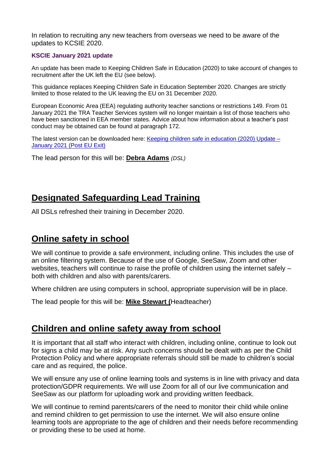In relation to recruiting any new teachers from overseas we need to be aware of the updates to KCSIE 2020.

#### **KSCIE January 2021 update**

An update has been made to Keeping Children Safe in Education (2020) to take account of changes to recruitment after the UK left the EU (see below).

This guidance replaces Keeping Children Safe in Education September 2020. Changes are strictly limited to those related to the UK leaving the EU on 31 December 2020.

European Economic Area (EEA) regulating authority teacher sanctions or restrictions 149. From 01 January 2021 the TRA Teacher Services system will no longer maintain a list of those teachers who have been sanctioned in EEA member states. Advice about how information about a teacher's past conduct may be obtained can be found at paragraph 172.

The latest version can be downloaded here: Keeping children safe in [education](https://assets.publishing.service.gov.uk/government/uploads/system/uploads/attachment_data/file/954314/Keeping_children_safe_in_education_2020_-_Update_-_January_2021.pdf) (2020) Update – [January](https://assets.publishing.service.gov.uk/government/uploads/system/uploads/attachment_data/file/954314/Keeping_children_safe_in_education_2020_-_Update_-_January_2021.pdf) 2021 (Post EU Exit)

The lead person for this will be: **Debra Adams** *(DSL)*

#### **Designated Safeguarding Lead Training**

All DSLs refreshed their training in December 2020.

#### **Online safety in school**

We will continue to provide a safe environment, including online. This includes the use of an online filtering system. Because of the use of Google, SeeSaw, Zoom and other websites, teachers will continue to raise the profile of children using the internet safely – both with children and also with parents/carers.

Where children are using computers in school, appropriate supervision will be in place.

The lead people for this will be: **Mike Stewart (**Headteacher)

#### **Children and online safety away from school**

It is important that all staff who interact with children, including online, continue to look out for signs a child may be at risk. Any such concerns should be dealt with as per the Child Protection Policy and where appropriate referrals should still be made to children's social care and as required, the police.

We will ensure any use of online learning tools and systems is in line with privacy and data protection/GDPR requirements. We will use Zoom for all of our live communication and SeeSaw as our platform for uploading work and providing written feedback.

We will continue to remind parents/carers of the need to monitor their child while online and remind children to get permission to use the internet. We will also ensure online learning tools are appropriate to the age of children and their needs before recommending or providing these to be used at home.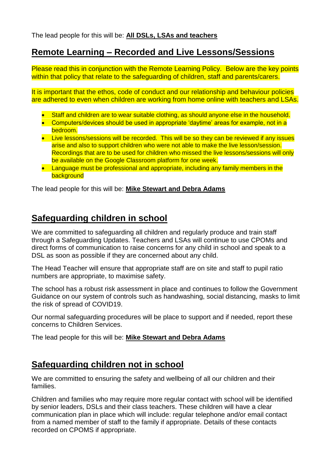## **Remote Learning – Recorded and Live Lessons/Sessions**

Please read this in conjunction with the Remote Learning Policy. Below are the key points within that policy that relate to the safeguarding of children, staff and parents/carers.

It is important that the ethos, code of conduct and our relationship and behaviour policies are adhered to even when children are working from home online with teachers and LSAs.

- **Staff and children are to wear suitable clothing, as should anyone else in the household.**
- Computers/devices should be used in appropriate 'daytime' areas for example, not in a bedroom.
- Live lessons/sessions will be recorded. This will be so they can be reviewed if any issues arise and also to support children who were not able to make the live lesson/session. Recordings that are to be used for children who missed the live lessons/sessions will only be available on the Google Classroom platform for one week.
- Language must be professional and appropriate, including any family members in the background

The lead people for this will be: **Mike Stewart and Debra Adams**

## **Safeguarding children in school**

We are committed to safeguarding all children and regularly produce and train staff through a Safeguarding Updates. Teachers and LSAs will continue to use CPOMs and direct forms of communication to raise concerns for any child in school and speak to a DSL as soon as possible if they are concerned about any child.

The Head Teacher will ensure that appropriate staff are on site and staff to pupil ratio numbers are appropriate, to maximise safety.

The school has a robust risk assessment in place and continues to follow the Government Guidance on our system of controls such as handwashing, social distancing, masks to limit the risk of spread of COVID19.

Our normal safeguarding procedures will be place to support and if needed, report these concerns to Children Services.

The lead people for this will be: **Mike Stewart and Debra Adams**

## **Safeguarding children not in school**

We are committed to ensuring the safety and wellbeing of all our children and their families.

Children and families who may require more regular contact with school will be identified by senior leaders, DSLs and their class teachers. These children will have a clear communication plan in place which will include: regular telephone and/or email contact from a named member of staff to the family if appropriate. Details of these contacts recorded on CPOMS if appropriate.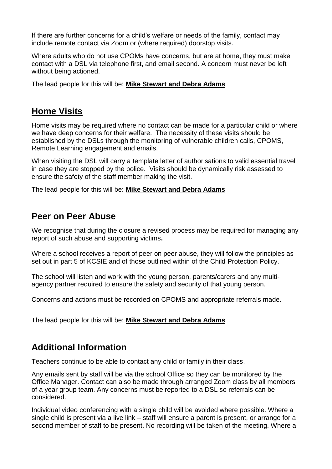If there are further concerns for a child's welfare or needs of the family, contact may include remote contact via Zoom or (where required) doorstop visits.

Where adults who do not use CPOMs have concerns, but are at home, they must make contact with a DSL via telephone first, and email second. A concern must never be left without being actioned.

The lead people for this will be: **Mike Stewart and Debra Adams**

#### **Home Visits**

Home visits may be required where no contact can be made for a particular child or where we have deep concerns for their welfare. The necessity of these visits should be established by the DSLs through the monitoring of vulnerable children calls, CPOMS, Remote Learning engagement and emails.

When visiting the DSL will carry a template letter of authorisations to valid essential travel in case they are stopped by the police. Visits should be dynamically risk assessed to ensure the safety of the staff member making the visit.

The lead people for this will be: **Mike Stewart and Debra Adams**

#### **Peer on Peer Abuse**

We recognise that during the closure a revised process may be required for managing any report of such abuse and supporting victims**.** 

Where a school receives a report of peer on peer abuse, they will follow the principles as set out in part 5 of KCSIE and of those outlined within of the Child Protection Policy.

The school will listen and work with the young person, parents/carers and any multiagency partner required to ensure the safety and security of that young person.

Concerns and actions must be recorded on CPOMS and appropriate referrals made.

The lead people for this will be: **Mike Stewart and Debra Adams**

## **Additional Information**

Teachers continue to be able to contact any child or family in their class.

Any emails sent by staff will be via the school Office so they can be monitored by the Office Manager. Contact can also be made through arranged Zoom class by all members of a year group team. Any concerns must be reported to a DSL so referrals can be considered.

Individual video conferencing with a single child will be avoided where possible. Where a single child is present via a live link – staff will ensure a parent is present, or arrange for a second member of staff to be present. No recording will be taken of the meeting. Where a